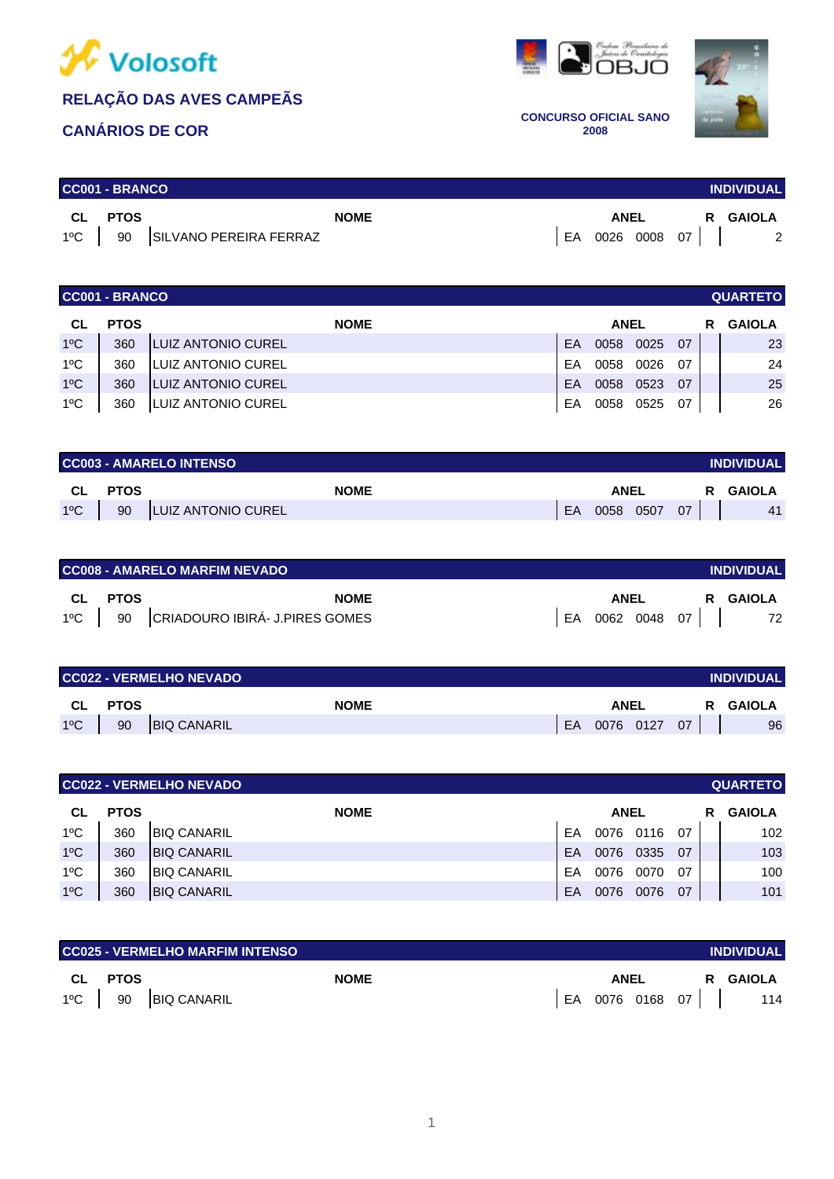

### **CANÁRIOS DE COR**





**CONCURSO OFICIAL SANO 2008**

|      | <b>CC001 - BRANCO</b><br><b>INDIVIDUAL</b> |                                   |             |  |      |  |                 |                |  |
|------|--------------------------------------------|-----------------------------------|-------------|--|------|--|-----------------|----------------|--|
| CL C | <b>PTOS</b>                                |                                   | <b>NOME</b> |  | ANEL |  |                 | R GAIOLA       |  |
|      |                                            | 1°C   90   SILVANO PEREIRA FERRAZ |             |  |      |  | EA 0026 0008 07 | $\overline{2}$ |  |

| <b>CC001 - BRANCO</b><br><b>QUARTETO</b> |             |                            |           |             |      |     |   |               |  |  |
|------------------------------------------|-------------|----------------------------|-----------|-------------|------|-----|---|---------------|--|--|
| CL                                       | <b>PTOS</b> | <b>NOME</b>                |           | <b>ANEL</b> |      |     | R | <b>GAIOLA</b> |  |  |
| $1^{\circ}$ C                            | 360         | <b>ILUIZ ANTONIO CUREL</b> | <b>FA</b> | 0058        | 0025 | 07  |   | 23            |  |  |
| $1^{\circ}$ C                            | 360         | ILUIZ ANTONIO CUREL        | FA        | 0058        | 0026 | -07 |   | 24            |  |  |
| $1^{\circ}$ C                            | 360         | <b>ILUIZ ANTONIO CUREL</b> | EA        | 0058        | 0523 | 07  |   | 25            |  |  |
| 1°C                                      | 360         | LUIZ ANTONIO CUREL         | EA        | 0058        | 0525 | 07  |   | 26            |  |  |

|              | <b>CC003 - AMARELO INTENSO</b><br><b>INDIVIDUAL</b> |                           |             |  |    |             |      |    |               |  |
|--------------|-----------------------------------------------------|---------------------------|-------------|--|----|-------------|------|----|---------------|--|
| CL.          | PTOS                                                |                           | <b>NOME</b> |  |    | <b>ANEL</b> |      | R  | <b>GAIOLA</b> |  |
| $1^{\circ}C$ | 90                                                  | <b>LUIZ ANTONIO CUREL</b> |             |  | EA | 0058        | 0507 | 07 | 41            |  |

| <b>CC008 - AMARELO MARFIM NEVADO</b><br><b>INDIVIDUAL</b> |         |                                         |    |      |           |                 |          |  |  |
|-----------------------------------------------------------|---------|-----------------------------------------|----|------|-----------|-----------------|----------|--|--|
|                                                           | CL PTOS | <b>NOME</b>                             |    | ANEL |           |                 | R GAIOLA |  |  |
|                                                           |         | 1°C   90 CRIADOURO IBIRÁ- J.PIRES GOMES | EA |      | 0062 0048 | 07 <sub>1</sub> | 72       |  |  |

| <b>CC022 - VERMELHO NEVADO</b><br><b>INDIVIDUAL</b> |             |                    |    |           |  |    |  |          |  |  |
|-----------------------------------------------------|-------------|--------------------|----|-----------|--|----|--|----------|--|--|
| <b>CL</b>                                           | <b>PTOS</b> | <b>NOME</b>        |    | ANEL      |  |    |  | R GAIOLA |  |  |
| $1^{\circ}$ C                                       | 90          | <b>BIQ CANARIL</b> | EA | 0076 0127 |  | 07 |  | 96       |  |  |

|               | <b>CC022 - VERMELHO NEVADO</b><br><b>QUARTETO</b> |                    |    |             |      |     |    |               |  |
|---------------|---------------------------------------------------|--------------------|----|-------------|------|-----|----|---------------|--|
| CL            | <b>PTOS</b>                                       | <b>NOME</b>        |    | <b>ANEL</b> |      |     | R. | <b>GAIOLA</b> |  |
| 1ºC           | 360                                               | <b>BIQ CANARIL</b> | FA | 0076        | 0116 | -07 |    | 102           |  |
| $1^{\circ}$ C | 360                                               | <b>BIQ CANARIL</b> | EA | 0076        | 0335 | 07  |    | 103           |  |
| $1^{\circ}$ C | 360                                               | <b>BIQ CANARIL</b> | FA | 0076        | 0070 | 07  |    | 100           |  |
| $1^{\circ}$ C | 360                                               | <b>BIQ CANARIL</b> | EA | 0076        | 0076 | 07  |    | 101           |  |

|     |                    | CC025 - VERMELHO MARFIM INTENSO |             |                 |    | <b>INDIVIDUAL</b> |
|-----|--------------------|---------------------------------|-------------|-----------------|----|-------------------|
| CL. | PTOS               |                                 | <b>NOME</b> | <b>ANEL</b>     | R. | <b>GAIOLA</b>     |
|     | $1^{\circ}$ C   90 | <b>BIQ CANARIL</b>              |             | EA 0076 0168 07 |    | 114               |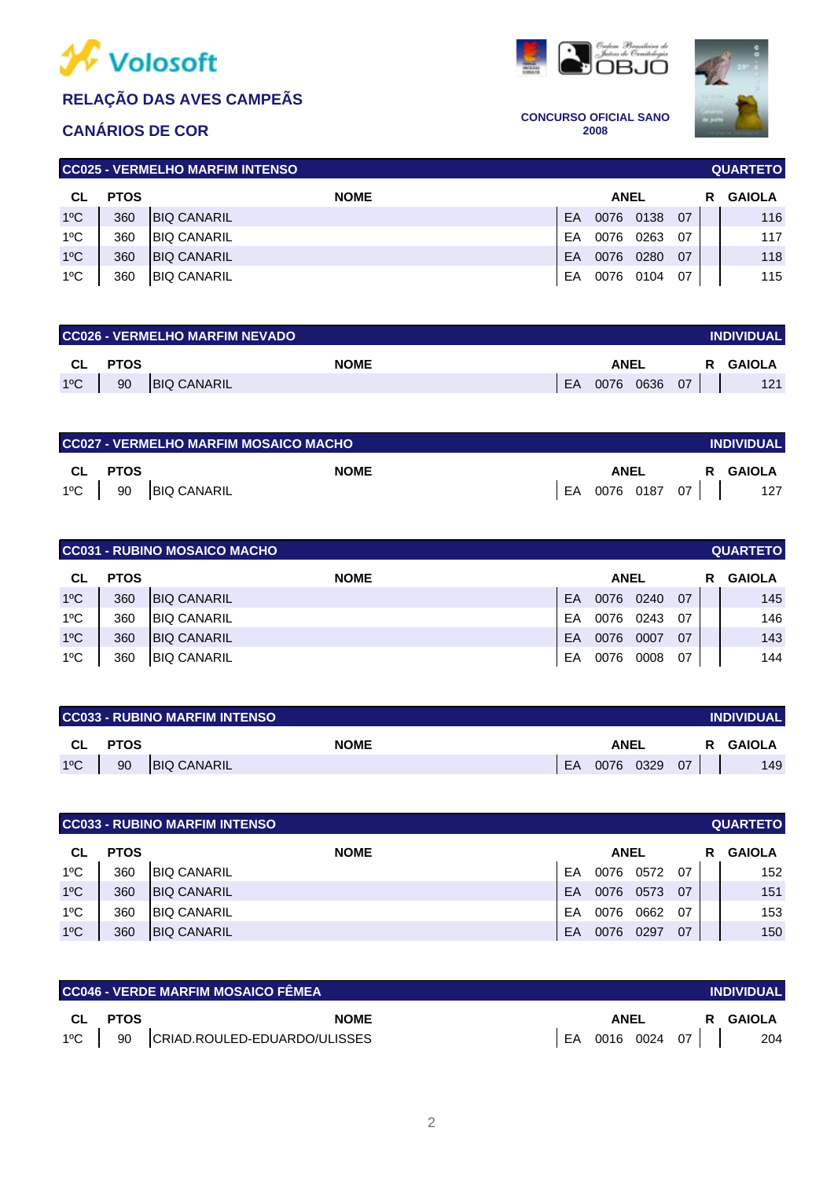

# **CANÁRIOS DE COR**





**CONCURSO OFICIAL SANO 2008**

| I CC025 - VERMELHO MARFIM INTENSO<br><b>QUARTETO</b> |             |                     |             |      |      |    |  |               |  |  |  |
|------------------------------------------------------|-------------|---------------------|-------------|------|------|----|--|---------------|--|--|--|
| СL                                                   | <b>PTOS</b> | <b>NOME</b>         | <b>ANEL</b> |      |      |    |  | <b>GAIOLA</b> |  |  |  |
| $1^{\circ}$ C                                        | 360         | <b>IBIQ CANARIL</b> | <b>FA</b>   | 0076 | 0138 | 07 |  | 116           |  |  |  |
| $1^{\circ}$ C                                        | 360         | <b>BIQ CANARIL</b>  | FA          | 0076 | 0263 | 07 |  | 117           |  |  |  |
| $1^{\circ}$ C                                        | 360         | <b>IBIQ CANARIL</b> | EA          | 0076 | 0280 | 07 |  | 118           |  |  |  |
| $1^{\circ}$ C                                        | 360         | <b>BIQ CANARIL</b>  | EA          | 0076 | 0104 | 07 |  | 115           |  |  |  |

| <b>CC026 - VERMELHO MARFIM NEVADO</b><br><b>INDIVIDUAL</b> |                |                    |             |  |           |  |           |    |    |        |
|------------------------------------------------------------|----------------|--------------------|-------------|--|-----------|--|-----------|----|----|--------|
|                                                            | <b>CL PTOS</b> |                    | <b>NOME</b> |  | ANEL      |  |           |    | R. | GAIOLA |
| $1^{\circ}$ C                                              | 90             | <b>BIQ CANARIL</b> |             |  | <b>EA</b> |  | 0076 0636 | 07 |    | 121    |

| CC027 - VERMELHO MARFIM MOSAICO MACHO<br><b>INDIVIDUAL</b> |         |                      |  |             |  |  |  |                          |  |
|------------------------------------------------------------|---------|----------------------|--|-------------|--|--|--|--------------------------|--|
|                                                            | CL PTOS | <b>NOME</b>          |  | <b>ANEL</b> |  |  |  | R GAIOLA                 |  |
|                                                            |         | 1°C   90 BIQ CANARIL |  |             |  |  |  | LEA 0076 0187 07     127 |  |

| CC031 - RUBINO MOSAICO MACHO<br><b>QUARTETO</b> |                            |                     |    |      |             |    |   |               |  |
|-------------------------------------------------|----------------------------|---------------------|----|------|-------------|----|---|---------------|--|
| CL.                                             | <b>NOME</b><br><b>PTOS</b> |                     |    |      | <b>ANEL</b> |    | R | <b>GAIOLA</b> |  |
| $1^{\circ}$ C                                   | 360                        | <b>IBIQ CANARIL</b> | EA | 0076 | 0240        | 07 |   | 145           |  |
| $1^{\circ}$ C                                   | 360                        | <b>BIQ CANARIL</b>  | EA | 0076 | 0243        | 07 |   | 146           |  |
| $1^{\circ}$ C                                   | 360                        | <b>BIQ CANARIL</b>  | EA | 0076 | 0007        | 07 |   | 143           |  |
| $1^{\circ}$ C                                   | 360                        | <b>IBIQ CANARIL</b> | EA | 0076 | 0008        | 07 |   | 144           |  |

| <b>CC033 - RUBINO MARFIM INTENSO</b><br><b>INDIVIDUAL</b> |             |                    |           |           |  |     |   |        |  |
|-----------------------------------------------------------|-------------|--------------------|-----------|-----------|--|-----|---|--------|--|
| CL                                                        | <b>PTOS</b> | <b>NOME</b>        | ANEL      |           |  |     | R | GAIOLA |  |
| $1^{\circ}$ C                                             | 90          | <b>BIQ CANARIL</b> | <b>FA</b> | 0076 0329 |  | -07 |   | 149    |  |

|               |             | <b>CC033 - RUBINO MARFIM INTENSO</b> |    |             |      |    |   | <b>QUARTETO</b> |
|---------------|-------------|--------------------------------------|----|-------------|------|----|---|-----------------|
| CL.           | <b>PTOS</b> | <b>NOME</b>                          |    | <b>ANEL</b> |      |    | R | <b>GAIOLA</b>   |
| 1ºC           | 360         | <b>BIQ CANARIL</b>                   | EA | 0076        | 0572 | 07 |   | 152             |
| $1^{\circ}$ C | 360         | <b>BIQ CANARIL</b>                   | EA | 0076        | 0573 | 07 |   | 151             |
| $1^{\circ}$ C | 360         | <b>BIQ CANARIL</b>                   | EA | 0076        | 0662 | 07 |   | 153             |
| $1^{\circ}$ C | 360         | <b>BIQ CANARIL</b>                   | EA | 0076        | 0297 | 07 |   | 150             |

|           |             | <b>CC046 - VERDE MARFIM MOSAICO FÊMEA</b> |    |           |    | <b>INDIVIDUAL</b> |
|-----------|-------------|-------------------------------------------|----|-----------|----|-------------------|
| <b>CL</b> | <b>PTOS</b> | <b>NOME</b>                               |    | ANEL      | R  | GAIOLA            |
| 1ºC       | 90          | CRIAD.ROULED-EDUARDO/ULISSES              | EA | 0016 0024 | 07 | 204               |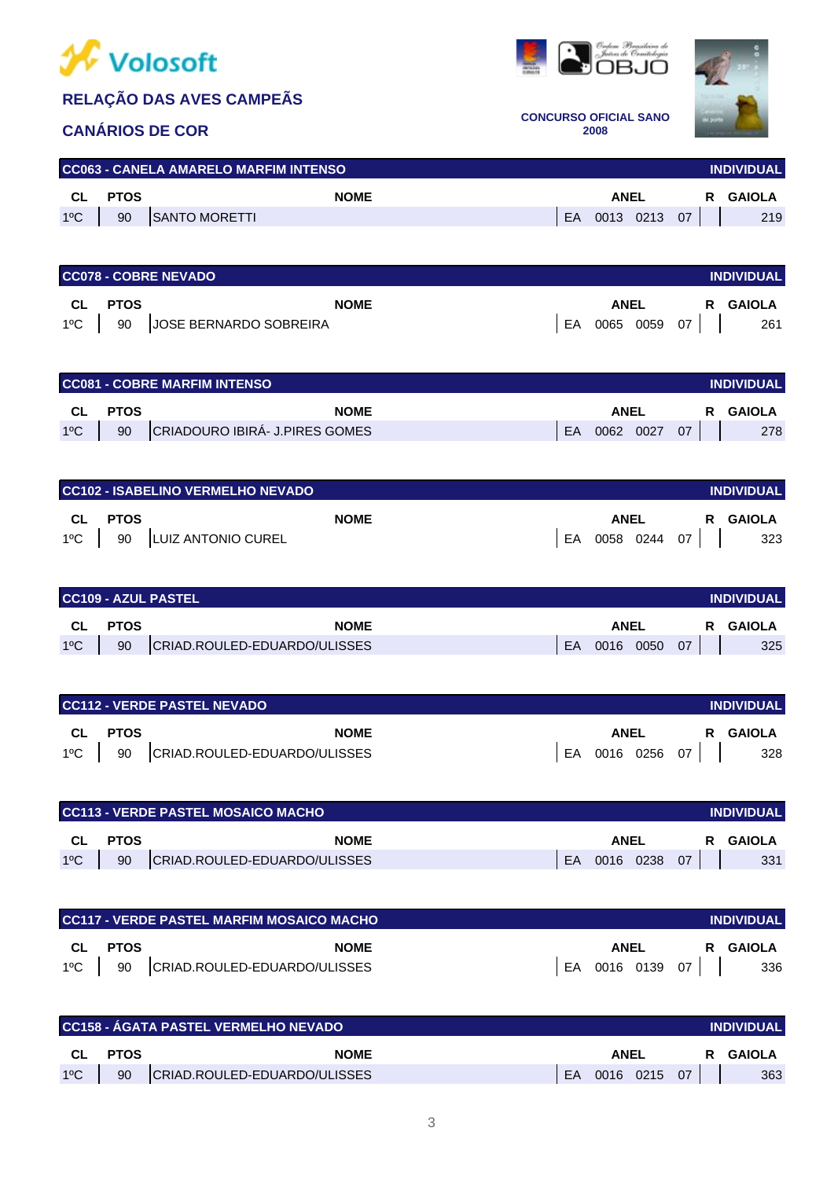

#### **CANÁRIOS DE COR**





**CONCURSO OFICIAL SANO 2008**

# 1ºC 90 SANTO MORETTI 219 **CC063 - CANELA AMARELO MARFIM INTENSO CL PTOS NOME ANEL R GAIOLA**

|               |             | <b>CC078 - COBRE NEVADO</b><br><b>INDIVIDUAL</b> |    |             |      |    |    |        |  |  |  |  |
|---------------|-------------|--------------------------------------------------|----|-------------|------|----|----|--------|--|--|--|--|
| CL.           | <b>PTOS</b> | <b>NOME</b>                                      |    | <b>ANEL</b> |      |    | R. | GAIOLA |  |  |  |  |
| $1^{\circ}$ C | 90          | JOSE BERNARDO SOBREIRA                           | EA | 0065        | 0059 | 07 |    | 261    |  |  |  |  |

|               |             | <b>CC081 - COBRE MARFIM INTENSO</b> |    |           |    |    | <b>INDIVIDUAL</b> |
|---------------|-------------|-------------------------------------|----|-----------|----|----|-------------------|
| CL.           | <b>PTOS</b> | <b>NOME</b>                         |    | ANEL      |    | R. | GAIOLA            |
| $1^{\circ}$ C | 90          | CRIADOURO IBIRÁ- J.PIRES GOMES      | FA | 0062 0027 | 07 |    | 278               |

|         | I CC102 - ISABELINO VERMELHO NEVADO I |             |                 | <b>INDIVIDUAL</b> |
|---------|---------------------------------------|-------------|-----------------|-------------------|
| CL PTOS | <b>NOME</b>                           | <b>ANEL</b> |                 | R GAIOLA          |
|         | 1°C   90   LUIZ ANTONIO CUREL         |             | EA 0058 0244 07 | 323               |

|               |             | CC109 - AZUL PASTEL          |    |             |      |    |   | <b>INDIVIDUAL</b> |
|---------------|-------------|------------------------------|----|-------------|------|----|---|-------------------|
| <b>CL</b>     | <b>PTOS</b> | <b>NOME</b>                  |    | <b>ANEL</b> |      |    | R | <b>GAIOLA</b>     |
| $1^{\circ}$ C | 90          | CRIAD.ROULED-EDUARDO/ULISSES | EA | 0016        | 0050 | 07 |   | 325               |

|               |             | <b>CC112 - VERDE PASTEL NEVADO</b> |    |      |           |    | <b>INDIVIDUAL</b> |
|---------------|-------------|------------------------------------|----|------|-----------|----|-------------------|
| <b>CL</b>     | <b>PTOS</b> | <b>NOME</b>                        |    | ANEL |           | R. | GAIOLA            |
| $1^{\circ}$ C | 90          | CRIAD.ROULED-EDUARDO/ULISSES       | EA |      | 0016 0256 | 07 | 328               |

|               |             | I CC113 - VERDE PASTEL MOSAICO MACHO |           |           |    |    | <b>INDIVIDUAL</b> |
|---------------|-------------|--------------------------------------|-----------|-----------|----|----|-------------------|
| CL            | <b>PTOS</b> | <b>NOME</b>                          |           | ANEL      |    | R. | GAIOLA            |
| $1^{\circ}$ C | 90          | CRIAD.ROULED-EDUARDO/ULISSES         | <b>FA</b> | 0016 0238 | 07 |    | 331               |

|               |             | <b>CC117 - VERDE PASTEL MARFIM MOSAICO MACHO</b> |      |                 | <b>INDIVIDUAL</b> |
|---------------|-------------|--------------------------------------------------|------|-----------------|-------------------|
| -CL           | <b>PTOS</b> | <b>NOME</b>                                      | ANEL | R.              | GAIOLA            |
| $1^{\circ}$ C |             | 90 CRIAD.ROULED-EDUARDO/ULISSES                  |      | EA 0016 0139 07 | 336               |

|               |             | <b>CC158 - AGATA PASTEL VERMELHO NEVADO '</b> |    |           |    | <b>INDIVIDUAL</b> |
|---------------|-------------|-----------------------------------------------|----|-----------|----|-------------------|
| <b>CL</b>     | <b>PTOS</b> | <b>NOME</b>                                   |    | ANEL      |    | GAIOLA            |
| $1^{\circ}$ C | 90          | CRIAD.ROULED-EDUARDO/ULISSES                  | EA | 0016 0215 | 07 | 363               |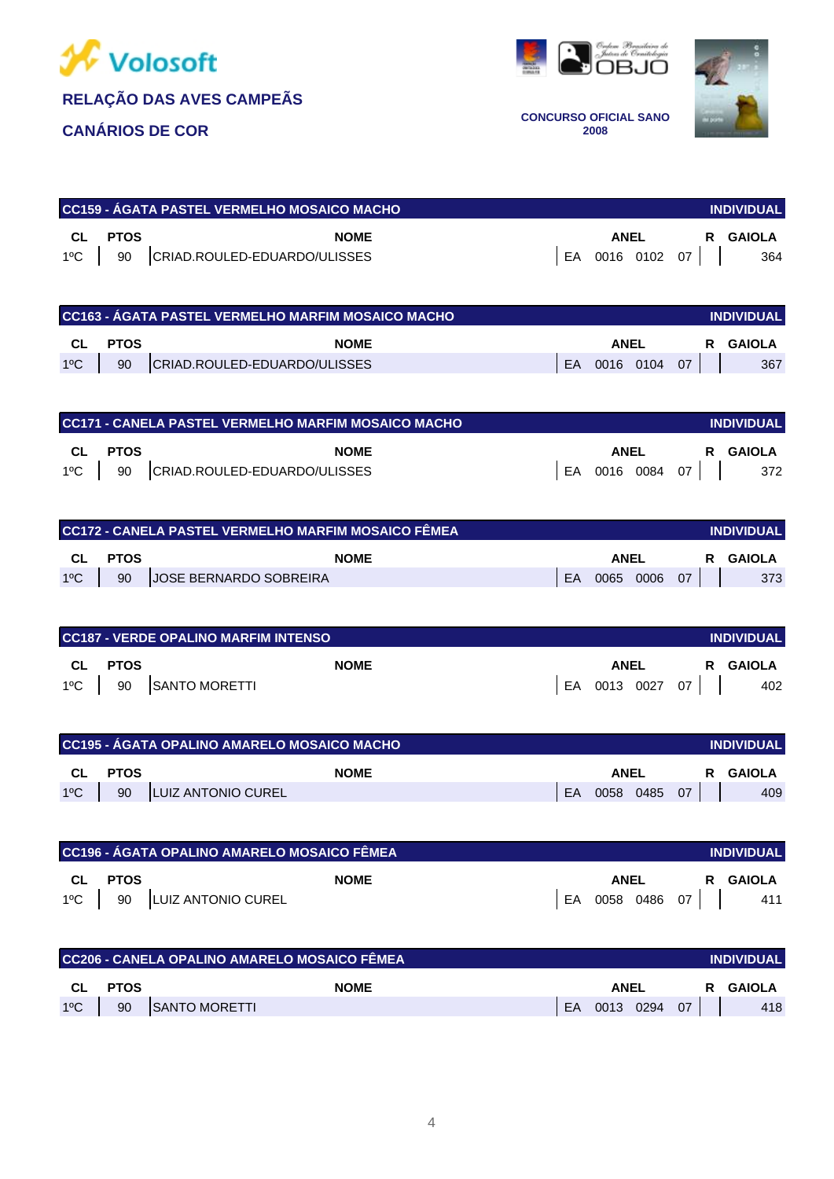





**CONCURSO OFICIAL SANO 2008**

|         | CC159 - ÁGATA PASTEL VERMELHO MOSAICO MACHO |             |                 | <b>INDIVIDUAL</b> |
|---------|---------------------------------------------|-------------|-----------------|-------------------|
| CL PTOS | <b>NOME</b>                                 | <b>ANEL</b> |                 | R GAIOLA          |
|         | 1°C   90   CRIAD.ROULED-EDUARDO/ULISSES     |             | EA 0016 0102 07 | 364               |

|               |             | <b>CC163 - ÁGATA PASTEL VERMELHO MARFIM MOSAICO MACHO</b> |     |              |  | <b>INDIVIDUAL</b> |
|---------------|-------------|-----------------------------------------------------------|-----|--------------|--|-------------------|
| CL            | <b>PTOS</b> | <b>NOME</b>                                               |     | <b>ANEL</b>  |  | R GAIOLA          |
| $1^{\circ}$ C | 90          | CRIAD.ROULED-EDUARDO/ULISSES                              | EA. | 0016 0104 07 |  | 367               |

|     |             | <b>CC171 - CANELA PASTEL VERMELHO MARFIM MOSAICO MACHO</b> |                 |  | <b>INDIVIDUAL</b> |
|-----|-------------|------------------------------------------------------------|-----------------|--|-------------------|
| CL  | <b>PTOS</b> | <b>NOME</b>                                                | ANEL            |  | R GAIOLA          |
| 1ºC |             | 90 CRIAD.ROULED-EDUARDO/ULISSES                            | EA 0016 0084 07 |  | 372               |

| <b>CC172 - CANELA PASTEL VERMELHO MARFIM MOSAICO FÊMEA</b><br><b>INDIVIDUAL</b> |             |                        |     |           |  |    |          |  |
|---------------------------------------------------------------------------------|-------------|------------------------|-----|-----------|--|----|----------|--|
| CL                                                                              | <b>PTOS</b> | <b>NOME</b>            |     | ANEL      |  |    | R GAIOLA |  |
| $1^{\circ}$ C                                                                   | 90          | JOSE BERNARDO SOBREIRA | FA. | 0065 0006 |  | 07 | 373      |  |

|               | <b>CC187 - VERDE OPALINO MARFIM INTENSO</b><br><b>INDIVIDUAL</b> |               |  |              |  |      |          |  |
|---------------|------------------------------------------------------------------|---------------|--|--------------|--|------|----------|--|
| <b>CL</b>     | <b>PTOS</b>                                                      | <b>NOME</b>   |  | ANEL         |  |      | R GAIOLA |  |
| $1^{\circ}$ C | 90                                                               | SANTO MORETTI |  | EA 0013 0027 |  | 07 I | 402      |  |

|               | CC195 - AGATA OPALINO AMARELO MOSAICO MACHO |                    |    |             |  |    |        | <b>INDIVIDUAL</b> |
|---------------|---------------------------------------------|--------------------|----|-------------|--|----|--------|-------------------|
| <b>CL</b>     | <b>PTOS</b>                                 | <b>NOME</b>        |    | <b>ANEL</b> |  | R. | GAIOLA |                   |
| $1^{\circ}$ C | 90                                          | LUIZ ANTONIO CUREL | EA | 0058 0485   |  | 07 |        | 409               |

|               |             | <b>CC196 - ÁGATA OPALINO AMARELO MOSAICO FÊMEA</b> |    |      |           |    | <b>INDIVIDUAL</b> |
|---------------|-------------|----------------------------------------------------|----|------|-----------|----|-------------------|
| CL            | <b>PTOS</b> | <b>NOME</b>                                        |    | ANEL |           |    | R GAIOLA          |
| $1^{\circ}$ C | 90          | <b>LUIZ ANTONIO CUREL</b>                          | FA |      | 0058 0486 | 07 | 411               |

| <b>CC206 - CANELA OPALINO AMARELO MOSAICO FÊMEA</b><br><b>INDIVIDUAL</b> |             |               |     |             |  |    |          |  |  |
|--------------------------------------------------------------------------|-------------|---------------|-----|-------------|--|----|----------|--|--|
| CL.                                                                      | <b>PTOS</b> | <b>NOME</b>   |     | <b>ANEL</b> |  |    | R GAIOLA |  |  |
| $1^{\circ}$ C                                                            | 90          | SANTO MORETTI | EA. | $0013$ 0294 |  | 07 | 418      |  |  |